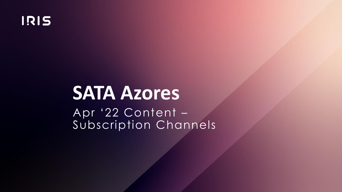

# **SATA Azores**

Apr '22 Content – Subscription Channels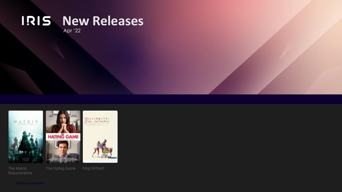#### **New Releases** Apr '22

 $\begin{array}{c} M \ \ A \ \ T \ \ R \ \ I \ \ X \\ \\ \end{array}$ 



The Matrix Resurrections



 $\frac{1}{\sqrt{\frac{1}{1-\epsilon}}}$ 

The Hating Game

King Richard

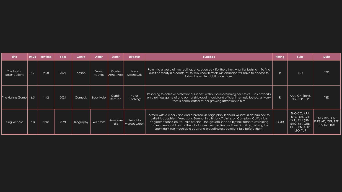| <b>Title</b>                       | <b>IMDB</b> | <b>Runtime</b> | Year | Genre     | Actor            | Actor                    | <b>Director</b>          | <b>Synopsis</b>                                                                                                                                                                                                                                                                                                                                                                                                                                      | Rating      | <b>Subs</b>                                                                                              | <b>Dubs</b>                                          |
|------------------------------------|-------------|----------------|------|-----------|------------------|--------------------------|--------------------------|------------------------------------------------------------------------------------------------------------------------------------------------------------------------------------------------------------------------------------------------------------------------------------------------------------------------------------------------------------------------------------------------------------------------------------------------------|-------------|----------------------------------------------------------------------------------------------------------|------------------------------------------------------|
| The Matrix<br><b>Resurrections</b> | 5.7         | 2:28           | 2021 | Action    | Keanu<br>Reeves  | Carrie-<br>Anne Mossi    | Lana<br>Wachowski        | Return to a world of two realities: one, everyday life; the other, what lies behind it. To find<br>out if his reality is a construct, to truly know himself, Mr. Anderson will have to choose to<br>follow the white rabbit once more.                                                                                                                                                                                                               | R           | <b>TBD</b>                                                                                               | <b>TBD</b>                                           |
| The Hating Game                    |             | 1:42           | 2021 | Comedy    | <b>Lucy Hale</b> | Corbin<br>Bernsen        | Peter<br>Hutchings       | Resolving to achieve professional success without compromising her ethics, Lucy embarks<br>on a ruthless game of one upmanship against cold and efficient nemesis Joshua, a rivalry<br>that is complicated by her growing attraction to him                                                                                                                                                                                                          | R           | ARA, CHI (TRA),<br>PFR, BPR, LSP                                                                         | <b>TBD</b>                                           |
| King Richard                       | 6.3         | 2:18           | 2021 | Biography | Will Smith       | Aunjanue<br><b>Ellis</b> | Reinaldo<br>Marcus Green | Armed with a clear vision and a brazen 78-page plan, Richard Williams is determined to<br>write his daughters, Venus and Serena, into history. Training on Compton, California's<br>neglected tennis courts - rain or shine - the girls are shaped by their father's unyielding<br>commitment and their mother's balanced perspective and keen intuition, defying the<br>seemingly insurmountable odds and prevailing expectations laid before them. | <b>PG13</b> | ENG CC, ARA,<br><b>BPR, DUT, CHI</b><br>(TRA), CHI (SIM)<br>ENG, FIN, GRE,<br>HEB, JPN, KOR,<br>LSO, TUR | ENG, BPR, CSP,<br>ENG AD, CFR, PFR,<br>ITA, LSP, RUS |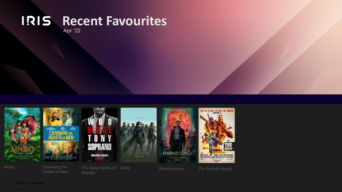



Charming the Hearts of Men

The Many Saints of Dune Newark

Reminiscence



The Suicide Squad

Ainbo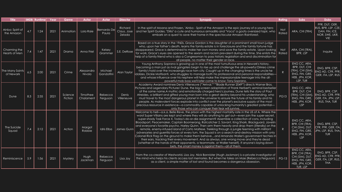| <b>Title</b>                   |     | <b>IMDB</b> Runtime | Year | Genre                     | <b>Actor</b>          | Actor                 | <b>Director</b>                  | <b>Synopsis</b>                                                                                                                                                                                                                                                                                                                                                                                                                                                                                                                                                                                                                                                                                                                                                                                                                                                                                                                                                                                                                                                                                     | Ratina              | <b>Subs</b>                                                                                       | <b>Dubs</b>                                                                             |
|--------------------------------|-----|---------------------|------|---------------------------|-----------------------|-----------------------|----------------------------------|-----------------------------------------------------------------------------------------------------------------------------------------------------------------------------------------------------------------------------------------------------------------------------------------------------------------------------------------------------------------------------------------------------------------------------------------------------------------------------------------------------------------------------------------------------------------------------------------------------------------------------------------------------------------------------------------------------------------------------------------------------------------------------------------------------------------------------------------------------------------------------------------------------------------------------------------------------------------------------------------------------------------------------------------------------------------------------------------------------|---------------------|---------------------------------------------------------------------------------------------------|-----------------------------------------------------------------------------------------|
| Ainbo: Spirit of<br>the Amazon | 4.7 | 1:24                | 2021 | Animation                 | Lola Raie             | Bernardo Del<br>Paula | Richard<br>Claus, Jose<br>Zelada | In the spirit of Moana and Frozen, 'Ainbo - Spirit of the Amazon' is the epic journey of a young hero<br>and her Spirit Guides, "Dillo" a cute and humorous armadillo and "Vaca" a goofy oversized tapir, who<br>embark on a quest to save their home in the spectacular Amazon Rainforest.                                                                                                                                                                                                                                                                                                                                                                                                                                                                                                                                                                                                                                                                                                                                                                                                         | Not<br>Rated        | ARA, CHI (TRA)                                                                                    | PFR, DUT, GER,<br>RUS, BPR, LSP, CZE,<br>DAN, FIN, ICE,<br>NOR, SWE, UKR,<br><b>VIE</b> |
| Charming the<br>Hearts of Men  | 7.4 | 1:47                | 2021 | Drama                     | Anna Friel            | Kelsey<br>Grammer     | S.E. DeRose                      | Based on a true story in the 1960s, Grace Gordon is the daughter of a prominent small town judge<br>who, upon her father's death, learns the family estate is in foreclosure and the family fortune has<br>disappeared. Grace is determined to make her own money and save the family estate. Upon looking<br>for work, Grace's eyes are opened to the sexism and racism prevalent during the time. She enlists the<br>help of a family friend who is also a Congressman to pass historic legislation and end discrimination for<br>all people, no matter their gender or race.                                                                                                                                                                                                                                                                                                                                                                                                                                                                                                                     | <b>Not</b><br>Rated | ARA, CHI (TRA),<br>BPR, LSP                                                                       | Inquire                                                                                 |
| The Many Saints <br>of Newark  | 6.5 | 2:00                | 2021 | Crime                     | Alessandro<br>Nivola  | Michael<br>Gandolfini | Alan Taylor                      | Young Anthony Soprano is growing up in one of the most tumultuous eras in Newark's history,<br>becoming a man just as rival gangsters begin to rise up and challenge the all-powerful DiMeo crime<br>family's hold over the increasingly race-torn city. Caught up in the changing times is the uncle he<br>idolizes, Dickie Moltisanti, who struggles to manage both his professional and personal responsibilities—<br>and whose influence over his nephew will help make the impressionable teenager into the all-<br>powerful mob boss we'll later come to know: Tony Soprano.                                                                                                                                                                                                                                                                                                                                                                                                                                                                                                                  | $\mathsf{R}$        | ENG CC, ARA,<br>BPR, DUT, CHI<br>(TRA), CHI (SIM)<br>ENG, FIN, GRE,<br>HEB, JPN, KOR,<br>LSP, TUR | ENG, BPR, CSP,<br>ENG AD, CFR, PFR,<br><b>GER, ITA, LSP, RUS</b>                        |
| Dune                           | 8.3 | 2:35                | 2021 | Science<br><b>Fiction</b> | Timothee<br>Chalament | Rebecca<br>Ferguson   | Denis<br>Villeneuve              | Academy Award nominee Denis Villeneuve (""Arrival,"" ""Blade Runner 2049"") directs Warner Bros.<br>Pictures and Legendary Pictures' Dune, the big-screen adaptation of Frank Herbert's seminal bestseller<br>of the same name.A mythic and emotionally charged hero's journey, Dune tells the story of Paul<br>Atreides, a brilliant and gifted young man born into a great destiny beyond his understanding, who<br>must travel to the most dangerous planet in the universe to ensure the future of his family and his<br>people. As malevolent forces explode into conflict over the planet's exclusive supply of the most<br>precious resource in existence—a commodity capable of unlocking humanity's greatest potential—<br>only those who can conquer their fear will survive.                                                                                                                                                                                                                                                                                                             | <b>PG13</b>         | ENG CC, ARA,<br>BPR, DUT, CHI<br>(TRA), CHI (SIM)<br>ENG, FIN, GRE,<br>HEB, JPN, KOR,<br>LSP      | ENG, BPR, CSP,<br>ENG AD, CFR, PFR,<br>GER, ITA, JPN, LSP,<br>RUS, THA, TUR             |
| The Suicide<br>Squad           | 7.4 | 2:12                | 2021 | Action                    | Margot<br>Robbie      | Idris Elba            | James Gunn                       | Welcome to hell—a.k.a. Belle Reve, the prison with the highest mortality rate in the US of A. Where the<br>worst Super-Villains are kept and where they will do anything to get out—even join the super-secret,<br>super-shady Task Force X. Today's do-or-die assignment? Assemble a collection of cons, including<br>Bloodsport, Peacemaker, Captain Boomerang, Ratcatcher 2, Savant, King Shark, Blackguard, Javelin<br>and everyone's favorite psycho, Harley Quinn. Then arm them heavily and drop them (literally) on the<br>remote, enemy-infused island of Corto Maltese. Trekking through a jungle teeming with militant<br>adversaries and guerrilla forces at every turn, the Squad is on a search-and-destroy mission with only<br>Colonel Rick Flag on the ground to make them behaveand Amanda Waller's government techies in<br>their ears, tracking their every movement. And as always, one wrong move and they're dead<br>(whether at the hands of their opponents, a teammate, or Waller herself). If anyone's laying down<br>bets, the smart money is against them—all of them. | R                   | ENG CC, ARA,<br>BPR, CHI (TRA),<br>CHI (SIM), DUT,<br>ENG, FIN, GRE,<br>HEB, JPN, KOR,<br>LSP     | ENG, BPR, CSP,<br>CFR, PFR, GER, ITA.<br>JPN, LSP, RUS, THA,<br><b>TUR</b>              |
| Reminiscence                   | 5.9 | 1:56                | 2021 | Mystery                   | Hugh<br>Jackman       | Rebecca<br>Ferguson   | Lisa Jov                         | From the co-creator of Westworld, Lisa Joy. Nick Bannister (Hugh Jackman) is a private investigator of<br>the mind who helps his clients access lost memories. But when he takes on Mae (Rebecca Ferguson)<br>as a client, a simple matter of lost and found becomes a dangerous obsession.                                                                                                                                                                                                                                                                                                                                                                                                                                                                                                                                                                                                                                                                                                                                                                                                         | <b>PG-13</b>        | ENG CC, ARA,<br>BPR, CHI (TRA)<br>CHI (SIM), DUT,<br>ENG, FIN, GRE,<br>HEB, JPN, KOR,<br>TUR, LSP | ENG, BPR, CSP,<br>ENG AD, CFR, PFR,<br>GER, ITA, LSP, RUS,<br><b>THA</b>                |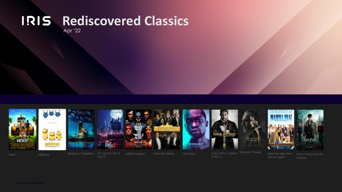# **RIS Rediscovered Classics**

Apr '22





















Hoot

Minions

Pets 2

Justice League

of the S.

We Go Again!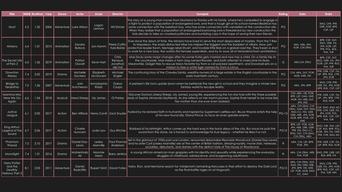| <b>Title</b>                                          |       | <b>IMDB Runtime Year</b> |      | Genre            | Actor                            | Actor                             | <b>Director</b>                         | <b>Synopsis</b>                                                                                                                                                                                                                                                                                                                                                                                                                                                                                                                                        | Rating       | <b>Subs</b>                                                                                                                  | <b>Dubs</b>                                                                                  |
|-------------------------------------------------------|-------|--------------------------|------|------------------|----------------------------------|-----------------------------------|-----------------------------------------|--------------------------------------------------------------------------------------------------------------------------------------------------------------------------------------------------------------------------------------------------------------------------------------------------------------------------------------------------------------------------------------------------------------------------------------------------------------------------------------------------------------------------------------------------------|--------------|------------------------------------------------------------------------------------------------------------------------------|----------------------------------------------------------------------------------------------|
| Hoot                                                  | 5.5   | 1:35                     |      |                  | 2006   Adventure   Luke Wilson   | Logan<br>Lerman                   | <b>Wil Shriner</b>                      | The story of a young man moves from Montana to Florida with his family, where he's compelled to engage in <br>a fight to protect a population of endangered owls, and that a tough girl at his school named Beatrice has<br>some connection with the barefoot boy, who has some connection with vandalism at the construction site.<br>When they realize that a population of endangered burrowing owls is threatened by new construction the<br>kids decide to take on crooked politicians and bumbling cops in the hope of saving their new friends. | PG           |                                                                                                                              | ENG, CFR, PFR,<br>GER, KOR, BPR,<br>CSP, LSP                                                 |
| <b>Minions</b>                                        | 6.4   | 1:31                     |      | 2015 Animation   | Sandr <u>a</u><br><b>Bullock</b> | Jon Hamm                          | Pierre Coffin,<br>Kyle Balda            | Ever since the dawn of time, the Minions have lived to serve the most despicable of masters. From the T-Rex<br>to Napoleon, the easily distracted tribe has helped the biggest and the baddest of villains. Now, join<br>protective leader Kevin, teenage rebel Stuart, and lovable little Bob on a global road trip. They'll earn a shot<br>to work for a new boss, the world's first female supervillain, and try to save all of Minionkind from annihilation.                                                                                       | PG           | ARA, HEB, JPN,<br>KOR, CHI (TRA)                                                                                             | BPR, CSP, DUT,<br>ENG, GER, ITA,<br>JPN, KOR, LSP,<br>PFR, POL, RUS,<br>THA, TUR             |
| he Secret Life <br>of Pets 2                          | 6.5   | 1:26                     | 2019 | Animation        | Patton<br>Oswalt                 | <b>Kevin Hart</b>                 | Chris<br>Renaud,<br>Jonathan<br>del Val | Max faces some major changes after his owner Katie gets married and now has a child. On a family trip to<br>the countryside, Max meets a farm dog named Rooster, and both attempt to overcome his fears.<br>Meanwhile, Gidget tries to rescue Max's favorite toy from a cat-packed apartment, and Snowball sets on a<br>mission to free a white tiger named Hu from a circus.                                                                                                                                                                          | $\mathsf{G}$ | ARA, CHI (TRA)                                                                                                               | BPR, CSP, DUT,<br>ENG, GER, ITA, JPN<br>KOR, LSP, PFR, RUS.<br>THA, TUR                      |
| Downton<br>Abbey                                      | 7.4   | 2:02                     | 2019 | Drama            | Michelle<br><b>Dockery</b>       | Elizabeth<br><b>McGovern</b>      | Michael<br>Engler                       | The continuing story of the Crawley family, wealthy owners of a large estate in the English countryside in the<br>early twentieth century.                                                                                                                                                                                                                                                                                                                                                                                                             | PG           | CHI, ARA, DUT, POR,<br>NOR, SWE, FIN                                                                                         | PFR, GER, CSP, ITA<br>LSP, BPR, RUS, CFR<br>JPN, KOR                                         |
| Bridge to<br><b>Terabithia</b>                        | 7.2   | 1:36                     | 2007 | Adventure        | <b>Josh</b><br><b>Hutcherson</b> | AnnaSophia<br>Robb                | Gabor<br>Csupo                          | A preteen's life turns upside down when he befriends the new girl in school and they imagine a whole new<br>fantasy world to escape reality.                                                                                                                                                                                                                                                                                                                                                                                                           | PG           | ARA, JPN, BPR                                                                                                                | ENG, CFR, PFR,<br>GER, ITA, JPN, KOR<br>BPR, RUS, CSP, LSP                                   |
| Mamma Mia:<br>Here We Go<br>Again                     | 6.6   | 1:54                     | 2018 | Musical          | Meryl Streep                     | Lily James                        | OI Parker                               | Discover Donna's (Meryl Streep, Lily James) young life, experiencing the fun she had with the three possible<br>dads of Sophie (Amanda Seyfriend). As she reflects on her mom's journey, Sophie finds herself to be more like<br>her mother than she ever even realized                                                                                                                                                                                                                                                                                |              | CHI, ARA, VIE, POR,<br>BPR, LSP, DAN, SWE,<br>NOR, FIN, HEB, DUT,<br>JPN, IND                                                | PFR, GER, CSP, ITA<br>LSP, JPN, BPR, CFR,<br>RUS, KOR                                        |
| Justice<br>League                                     | 6.1   | 2:00                     | 2017 | Action           | <b>Ben Affleck</b>               | Henry Cavill   Zack Snyder        |                                         | Fueled by his restored faith in humanity and inspired by Superman's selfless act, Bruce Wayne enlists the help<br>of his new-found ally, Diana Prince, to face an even greater enemy.                                                                                                                                                                                                                                                                                                                                                                  | <b>PG-13</b> | ARA, CHI (SIM), CHI<br>(TRA), DAN, DUT, ENG,<br>ENG CC, FIN, GER<br>GRE, HEB, JPN, KOR,<br>NOR. BPR. POR. LSP.<br><b>SWE</b> | CZE, ENG, ENG AD<br>PFR, CFR, GER, ITA,<br>JPN, KOR, POL,<br>BPR, RUS, CSP, LSP,<br>THA, TUR |
| King Arthur:<br>Legend of the $\mid$<br>Sword         | 6.7   | 2:06                     | 2017 | Action           | Charlie<br>Hunnam                | Jude Law                          | Guy Ritchie                             | Robbed of his birthright, Arthur comes up the hard way in the back alleys of the city. But once he pulls the<br>sword from the stone, he is forced to acknowledge his true legacy - whether he likes it or not.                                                                                                                                                                                                                                                                                                                                        | <b>PG13</b>  | BPR, LSP, POR, KOR,<br>JPN, HEB, GRE, GER<br>PFR, FIN, ENG CC,<br>ENG, DUT, CHI (SIM)<br>CHI (TRA), ARA                      | <b>NG, TUR, THA, LSP</b><br>CSP, RUS, BPR, POL<br>(OR, JPN, ITA, GER<br>PFR, CFR, ENG AD     |
| Phantom<br><b>Thread</b>                              | $7.5$ | 2:10                     | 2017 | Drama            | Daniel Day-<br>Lewis             | Lesley<br>Manville                | Paul Thomas<br>Anderson                 | Set in the glamour of 1950s post-war London, renowned dressmaker Reynolds Woodcock (Daniel Day-Lewis)<br>and his sister Cyril (Lesley Manville) are at the center of British fashion, dressing royalty, movie stars, heiresses,<br>socialites, debutants, and dames with the distinct style of The House of Woodcock.                                                                                                                                                                                                                                  | $\mathsf{R}$ | ARA, CHI, LSP, BPR,<br>POR, JPN                                                                                              | PFR, GER, CSP, ITA<br>LSP, BPR, RUS, KOR                                                     |
| Moonlight                                             | 7.4   | 1:51                     | 2016 | Drama            | Mahershala<br>Ali                | Naomie<br><b>Harris</b>           | Barry Jenkins                           | A young African-American man grapples with his identity and sexuality while experiencing the everyday<br>struggles of childhood, adolescence, and burgeoning adulthood.                                                                                                                                                                                                                                                                                                                                                                                | $\mathsf{R}$ | ARA, CHI (TRA), HEB, ENG, PFR, GER, LSP<br>THA, POR                                                                          | RUS, BPR, ITA                                                                                |
| Harry Potter<br>and the<br>Deathly<br>Hallows: Part 2 | 8.1   | 2:03                     | 2011 | <b>Adventure</b> | Daniel<br>Radcliffe              | <b>Rupert Grint   David Yates</b> |                                         | Harry, Ron, and Hermione search for Voldemort's remaining Horcruxes in their effort to destroy the Dark Lord<br>as the final battle rages on at Hogwarts.                                                                                                                                                                                                                                                                                                                                                                                              | <b>PG13</b>  | ARA, CHI (TRA), DUT,<br>ENG, FIN, GRE, HEB<br>JPN, BPR, VIE, SWE.<br>LSP, POR, NOR, ENG<br>CC, DAN                           | ENG, CFR, PFR,<br>GER, ITA, JPN, KOR<br>BPR, RUS, CSP, LSP,<br>THA, TUR, HIN                 |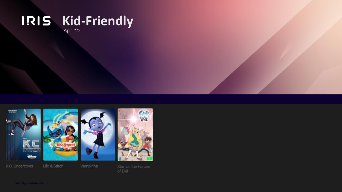#### **Kid-Friendly** Apr '22

*<u>SHOPLIFTER</u>* **MARINE TELEVIS Binep** 

K.C. Undercover

Lilo & Stitch

Vampirina



of Evil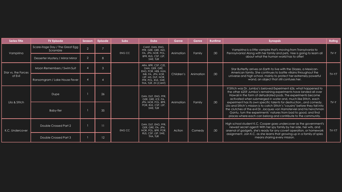| <b>Series Title</b>            | <b>TV Episode</b>                           | Season         | <b>Episode</b>  | <b>Subs</b> | <b>Dubs</b>                                                                                          | Genre      | <b>Genre</b> | <b>Runtime</b> | <b>Synopsis</b>                                                                                                                                                                                                                                                                                                                                 | Rating  |  |
|--------------------------------|---------------------------------------------|----------------|-----------------|-------------|------------------------------------------------------------------------------------------------------|------------|--------------|----------------|-------------------------------------------------------------------------------------------------------------------------------------------------------------------------------------------------------------------------------------------------------------------------------------------------------------------------------------------------|---------|--|
| Vampirina                      | Scare-itage Day / The Great Egg<br>Scramble | 2              |                 | ENG CC      | CANT, DAN, ENG,<br>PFR. GER. GRE. IND.<br>ITA, JPN, NOR, POL,                                        | Animation  | Family       | :30            | Vampirina is a little vampire that's moving from Transylvania to<br>Pennsylvania! Along with her family and pets, Vee is going to learn all                                                                                                                                                                                                     |         |  |
|                                | Desserter Mystery / Mirror Mirror           | $\overline{2}$ | 8               |             | BPR, RUS, CSP, LSP,<br>SWE, TUR                                                                      |            |              |                | about what the human world has to offer!                                                                                                                                                                                                                                                                                                        |         |  |
| Star vs. the Forces<br>of Evil | Moon Remembers / Swim Suit                  |                | 3               |             | ARA, BPR, CSP, CZE,<br>DAN, GER, GRE,<br>ENG, POR, HEB, HUN.                                         | Children's | Animation    |                | Star Butterfly arrives on Earth to live with the Diazes, a Mexican-<br>American family. She continues to battle villains throughout the                                                                                                                                                                                                         |         |  |
|                                | Ransomgram / Lake House Fever               |                |                 |             | INB. ITA. JPN. KOR.<br>LSP, MS, DUT, NOR,<br>PFR, POL, RUS, SWE,<br>THA, TUR, ZH (CANT)              |            |              | :30            | $TV-Y7$<br>universe and high school, mainly to protect her extremely powerful<br>wand, an object that still confuses her.                                                                                                                                                                                                                       |         |  |
|                                | Dupe                                        |                | 26              |             | DAN, DUT, ENG, PFR,<br>GER, GRE, ICE, ITA,<br>JPN, NOR, POL, BPR,<br>POR, RUS, CSP, LSP,<br>SWE, TUR |            |              |                | If Stitch was Dr. Jumba's beloved Experiment 626, what happened to<br>the other 625? Jumba's remaining experiments have landed all over<br>Hawaii in the form of dehydrated pods. The experiments become<br>activated when submerged in water and, much like Stitch, each<br>experiment has its own specific talents for destructionand comedy. |         |  |
| Lilo & Stitch                  | Baby-fier                                   |                | 35 <sup>5</sup> |             |                                                                                                      | Animation  | Family       | :30            | Lilo and Stitch's mission is to catch Stitch's "cousins" before they fall into<br>the clutches of the evil Dr. Jacques von Hamsterviel and his henchman<br>Gantu, turn the experiments' natures from bad to good, and find<br>places where each can belong and contribute to the community.                                                     |         |  |
| K.C. Undercover                | Double Crossed Part 2                       |                | $\overline{11}$ | ENG CC      | DAN, DUT, ENG, PFR,<br>GER, GRE, ITA, JPN,<br>NOR, POL, BPR, POR,                                    | Action     | Comedy       | :30            | High school student K.C. Cooper goes undercover as the government's<br>newest secret agent! With her spy family by her side, her wits, and<br>arsenal of gadgets, she's ready for any covert operation, or homework                                                                                                                             | $TV-Y7$ |  |
|                                | Double Crossed Part 3                       |                | 12 <sup>2</sup> |             | RUS, CSP, LSP, SWE,<br>THA, TUR                                                                      |            |              |                | assignment. Join K.C. as she learns that growing up in a family of spies<br>means sharing every mission.                                                                                                                                                                                                                                        |         |  |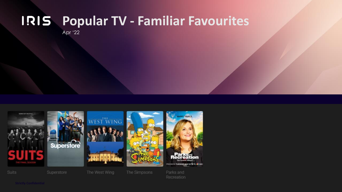## **Popular TV - Familiar Favourites**

Recreation

Apr '22

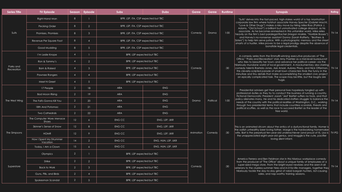| <b>Series Title</b>     | <b>TV Episode</b>                   |                 | Season Episode         | <b>Subs</b>                         | <b>Dubs</b>        | Genre     | Genre     | <b>Runtime</b>                                                                                                                                                                                                                                                                                                | <b>Synopsis</b>                                                                                                                                                                                                                                                                                                                   | Rating  |  |  |
|-------------------------|-------------------------------------|-----------------|------------------------|-------------------------------------|--------------------|-----------|-----------|---------------------------------------------------------------------------------------------------------------------------------------------------------------------------------------------------------------------------------------------------------------------------------------------------------------|-----------------------------------------------------------------------------------------------------------------------------------------------------------------------------------------------------------------------------------------------------------------------------------------------------------------------------------|---------|--|--|
| Suits                   | Right-Hand Man                      | 8               |                        | BPR, LSP, ITA, CSP expected but TBC |                    | Drama     |           | "Suits" delves into the fast-paced, high-stakes world of a top Manhattan<br>corporate law firm where hotshot associate Harvey Specter (Gabriel Macht,<br>"Love & Other Drugs") makes a risky move by hiring Mike Ross (Patrick J.<br>Adams, "Old School") a brilliant but unmotivated college dropout, as his |                                                                                                                                                                                                                                                                                                                                   |         |  |  |
|                         | Pecking Order                       | 8               | 2                      | BPR, LSP, ITA, CSP expected but TBC |                    |           |           |                                                                                                                                                                                                                                                                                                               |                                                                                                                                                                                                                                                                                                                                   |         |  |  |
|                         | Promises, Promises                  | 8               | $\mathbf{3}$           | BPR, LSP, ITA, CSP expected but TBC | Comedy             |           | 1:00      | associate. As he becomes enmeshed in this unfamiliar world, Mike relies<br>heavily on the firm's best paralegal Rachel (Megan Markle, "Horrible Bosses")                                                                                                                                                      | $TV-14$                                                                                                                                                                                                                                                                                                                           |         |  |  |
|                         | Revenue Per Square Foot             | 8               | $\boldsymbol{\Lambda}$ | BPR, LSP, ITA, CSP expected but TBC |                    |           |           | and Harvey's no-nonsense assistant Donna (Sarah Rafferty, "Brothers &<br>Sisters") to help him serve justice. With a photographic memory and the street<br>smarts of a hustler, Mike proves to be a legal prodigy despite the absence of                                                                      |                                                                                                                                                                                                                                                                                                                                   |         |  |  |
|                         | Good Mudding                        | 8               | 5 <sup>5</sup>         | BPR, LSP, ITA, CSP expected but TBC |                    |           |           | bonafide legal credentials.                                                                                                                                                                                                                                                                                   |                                                                                                                                                                                                                                                                                                                                   |         |  |  |
|                         | I'm Leslie Knope                    | $\overline{4}$  |                        | BPR, LSP expected but TBC           |                    |           |           | :30                                                                                                                                                                                                                                                                                                           | A comedy series from the Emmy®-winning executive producers of "The<br>Office," "Parks and Recreation" stars Amy Poehler as a mid-level bureaucrat<br>who tries to beautify her town-and advance her political career--via the                                                                                                     |         |  |  |
|                         | Ron & Tammy's                       | $\overline{4}$  | 2                      | BPR, LSP expected but TBC           |                    |           |           |                                                                                                                                                                                                                                                                                                               |                                                                                                                                                                                                                                                                                                                                   |         |  |  |
| Parks and<br>Recreation | <b>Born &amp; Raised</b>            | $\overline{4}$  | $\mathbf{3}$           | BPR, LSP expected but TBC           |                    | Comedy    |           |                                                                                                                                                                                                                                                                                                               | hilariously mundane world of local government. A mockumentary also starring<br>comedy talents Rashida Jones, Aziz Ansari, Aubrey Plaza, and Nick Offerman,<br>this cleverly-scripted parade of small town characters finds the funny in the                                                                                       | $TV-14$ |  |  |
|                         | Pawnee Rangers                      | $\overline{4}$  | $\Lambda$              | BPR, LSP expected but TBC           |                    |           |           |                                                                                                                                                                                                                                                                                                               | minutiae and tiny details that make accomplishing the smallest civic project<br>an epically complicated task. The scope may be little, but the laughs are                                                                                                                                                                         |         |  |  |
|                         | Meet N Greet                        | $\overline{4}$  | 5 <sup>5</sup>         | BPR, LSP expected but TBC           |                    |           |           |                                                                                                                                                                                                                                                                                                               | huge.                                                                                                                                                                                                                                                                                                                             |         |  |  |
|                         | 17 People                           | 2               | 18                     | <b>ARA</b>                          | <b>ENG</b>         |           |           |                                                                                                                                                                                                                                                                                                               | Presidential advisers get their personal lives hopelessly tangled up with                                                                                                                                                                                                                                                         |         |  |  |
|                         | Bad Moon Rising                     | 2               | 19                     | <b>ARA</b>                          | <b>ENG</b>         |           |           |                                                                                                                                                                                                                                                                                                               | professional duties as they try to conduct the business of running a country.<br>Fictional Democratic President Josiah "Jed" Bartlet suffers no fools, and that<br>policy alienates many. He and his dedicated staffers struggle to balance the<br>needs of the country with the political realities of Washington, D.C., working |         |  |  |
| The West Wing           | The Fall's Gonna Kill You           | 2               | 20                     | <b>ARA</b>                          | <b>ENG</b>         | Drama     | Political | 1:00                                                                                                                                                                                                                                                                                                          |                                                                                                                                                                                                                                                                                                                                   |         |  |  |
|                         | 18th And Potomac                    | 2               | 21                     | <b>ARA</b>                          | <b>ENG</b>         |           |           |                                                                                                                                                                                                                                                                                                               | through two presidential terms that include countless scandals, threats and<br>political scuffles, as well as the race to succeed Bartlet as the leader of the                                                                                                                                                                    |         |  |  |
|                         | <b>Two Cathedrals</b>               | $\overline{2}$  | 22                     | <b>ARA</b>                          | <b>ENG</b>         |           |           |                                                                                                                                                                                                                                                                                                               | free world.                                                                                                                                                                                                                                                                                                                       |         |  |  |
|                         | The Computer Wore Menace<br>Shoes   | 12 <sup>°</sup> | $\overline{6}$         | ENG CC                              | ENG, LSP, UKR      |           |           |                                                                                                                                                                                                                                                                                                               |                                                                                                                                                                                                                                                                                                                                   |         |  |  |
|                         | Skinner's Sense of Snow             | 12 <sup>°</sup> | 8                      | <b>ENG CC</b>                       | ENG, LSP, UKR      |           |           |                                                                                                                                                                                                                                                                                                               | This is an animated sitcom about the antics of a dysfunctional family. Homer is                                                                                                                                                                                                                                                   |         |  |  |
| The Simpsons            | <b>HOMR</b>                         | 12 <sup>°</sup> | $\circ$                | <b>ENG CC</b>                       | ENG, LSP, UKR      | Animation | Comedy    | :30                                                                                                                                                                                                                                                                                                           | the oafish unhealthy beer loving father, Marge is the hardworking homemaker<br>wife, Bart is the perpetual ten-year-old underachiever (and proud of it), Lisa is $ $ TV-PG<br>the unappreciated eight-year-old genius, and Maggie is the cute, pacifier                                                                           |         |  |  |
|                         | How I Spent My Strummer<br>Vacation | 14              | 2                      | ENG CC                              | ENG, HUN, LSP, UKR |           |           |                                                                                                                                                                                                                                                                                                               | loving silent infant.                                                                                                                                                                                                                                                                                                             |         |  |  |
|                         | Today, I Am a Clown                 | 15 <sup>°</sup> | 6 <sup>1</sup>         | ENG CC                              | ENG, HUN, LSP, UKR |           |           |                                                                                                                                                                                                                                                                                                               |                                                                                                                                                                                                                                                                                                                                   |         |  |  |
|                         | <b>Olympics</b>                     | $\overline{2}$  |                        | BPR, LSP expected but TBC           |                    |           |           |                                                                                                                                                                                                                                                                                                               |                                                                                                                                                                                                                                                                                                                                   |         |  |  |
|                         | Strike                              | 2               | 2 <sup>1</sup>         | BPR, LSP expected but TBC           |                    |           |           |                                                                                                                                                                                                                                                                                                               | America Ferrera and Ben Feldman star in this hilarious workplace comedy<br>from the producer of "The Office" about a unique family of employees at a<br>super-sized mega store. From the bright-eyed newbies and the seen-it-all<br>veterans to the clueless summer hires and in-it-for-life managers, together they              |         |  |  |
| Superstore              | <b>Back to Work</b>                 | 2               | 3 <sup>1</sup>         | BPR, LSP expected but TBC           |                    | Comedy    |           | :30                                                                                                                                                                                                                                                                                                           |                                                                                                                                                                                                                                                                                                                                   |         |  |  |
|                         | Guns, Pills, and Birds              | 2               | $\mathbf{\Lambda}$     | BPR, LSP expected but TBC           |                    |           |           |                                                                                                                                                                                                                                                                                                               | hilariously tackle the day-to-day grind of rabid bargain hunters, riot-causing<br>sales, and nap-worthy training sessions.                                                                                                                                                                                                        |         |  |  |
|                         | Spokesman Scandal                   | 2               | 5 <sup>5</sup>         | BPR, LSP expected but TBC           |                    |           |           |                                                                                                                                                                                                                                                                                                               |                                                                                                                                                                                                                                                                                                                                   |         |  |  |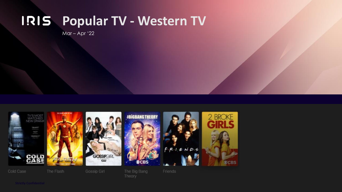## **Popular TV - Western TV**

Mar – Apr '22



Theory